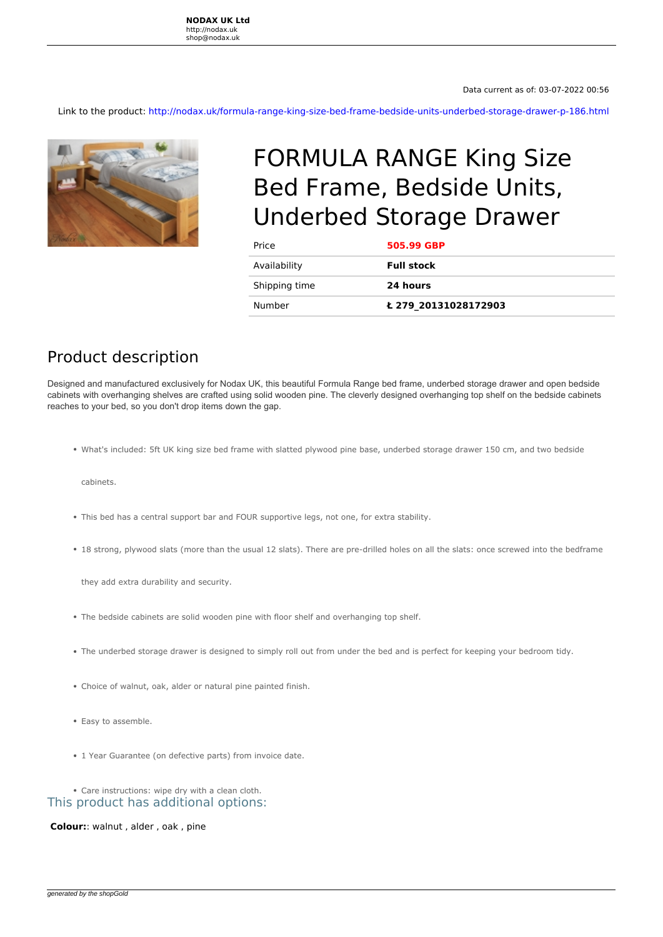Link to the product: <http://nodax.uk/formula-range-king-size-bed-frame-bedside-units-underbed-storage-drawer-p-186.html>



## FORMULA RANGE King Size Bed Frame, Bedside Units, Underbed Storage Drawer

| Price         | 505.99 GBP           |
|---------------|----------------------|
| Availability  | <b>Full stock</b>    |
| Shipping time | 24 hours             |
| Number        | Ł 279 20131028172903 |

## Product description

**Designed and manufactured exclusively for Nodax UK, this beautiful Formula Range bed frame, underbed storage drawer and open bedside cabinets with overhanging shelves are crafted using solid wooden pine. The cleverly designed overhanging top shelf on the bedside cabinets reaches to your bed, so you don't drop items down the gap.**

*What's included: 5ft UK king size bed frame with slatted plywood pine base, underbed storage drawer 150 cm, and two bedside*

*cabinets.*

- *This bed has a central support bar and FOUR supportive legs, not one, for extra stability.*
- *18 strong, plywood slats (more than the usual 12 slats). There are pre-drilled holes on all the slats: once screwed into the bedframe*

*they add extra durability and security.*

- *The bedside cabinets are solid wooden pine with floor shelf and overhanging top shelf.*
- *The underbed storage drawer is designed to simply roll out from under the bed and is perfect for keeping your bedroom tidy.*
- *Choice of walnut, oak, alder or natural pine painted finish.*
- *Easy to assemble.*
- *1 Year Guarantee (on defective parts) from invoice date.*

*Care instructions: wipe dry with a clean cloth.* This product has additional options:

 **Colour:**: walnut , alder , oak , pine